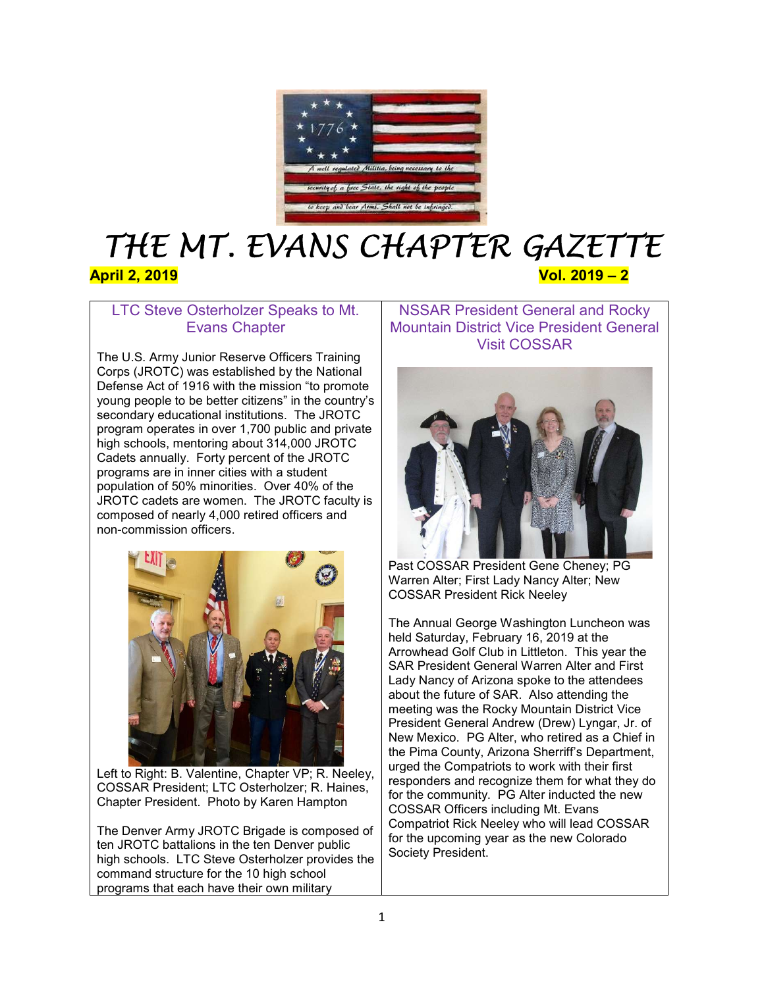

# THE MT. EVANS CHAPTER GAZETTE April 2, 2019 Vol. 2019 – 2

# LTC Steve Osterholzer Speaks to Mt. Evans Chapter

The U.S. Army Junior Reserve Officers Training Corps (JROTC) was established by the National Defense Act of 1916 with the mission "to promote young people to be better citizens" in the country's secondary educational institutions. The JROTC program operates in over 1,700 public and private high schools, mentoring about 314,000 JROTC Cadets annually. Forty percent of the JROTC programs are in inner cities with a student population of 50% minorities. Over 40% of the JROTC cadets are women. The JROTC faculty is composed of nearly 4,000 retired officers and non-commission officers.



Left to Right: B. Valentine, Chapter VP; R. Neeley, COSSAR President; LTC Osterholzer; R. Haines, Chapter President. Photo by Karen Hampton

The Denver Army JROTC Brigade is composed of ten JROTC battalions in the ten Denver public high schools. LTC Steve Osterholzer provides the command structure for the 10 high school programs that each have their own military

NSSAR President General and Rocky Mountain District Vice President General Visit COSSAR



Past COSSAR President Gene Cheney; PG Warren Alter; First Lady Nancy Alter; New COSSAR President Rick Neeley

The Annual George Washington Luncheon was held Saturday, February 16, 2019 at the Arrowhead Golf Club in Littleton. This year the SAR President General Warren Alter and First Lady Nancy of Arizona spoke to the attendees about the future of SAR. Also attending the meeting was the Rocky Mountain District Vice President General Andrew (Drew) Lyngar, Jr. of New Mexico. PG Alter, who retired as a Chief in the Pima County, Arizona Sherriff's Department, urged the Compatriots to work with their first responders and recognize them for what they do for the community. PG Alter inducted the new COSSAR Officers including Mt. Evans Compatriot Rick Neeley who will lead COSSAR for the upcoming year as the new Colorado Society President.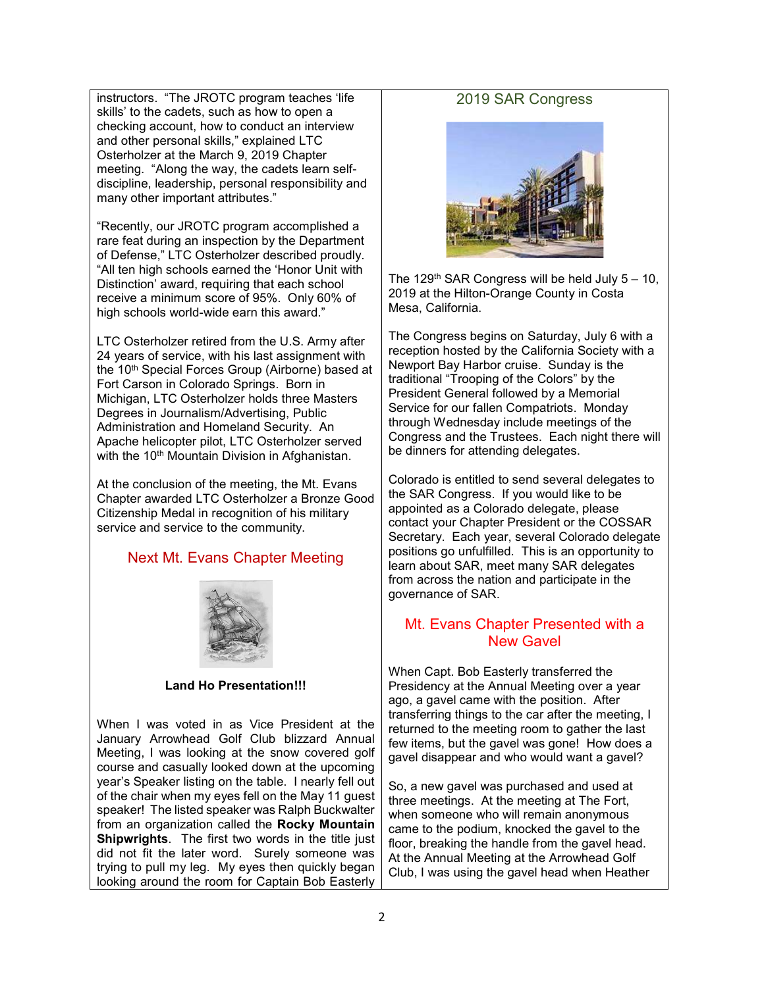instructors. "The JROTC program teaches 'life skills' to the cadets, such as how to open a checking account, how to conduct an interview and other personal skills," explained LTC Osterholzer at the March 9, 2019 Chapter meeting. "Along the way, the cadets learn selfdiscipline, leadership, personal responsibility and many other important attributes."

"Recently, our JROTC program accomplished a rare feat during an inspection by the Department of Defense," LTC Osterholzer described proudly. "All ten high schools earned the 'Honor Unit with Distinction' award, requiring that each school receive a minimum score of 95%. Only 60% of high schools world-wide earn this award."

LTC Osterholzer retired from the U.S. Army after 24 years of service, with his last assignment with the 10<sup>th</sup> Special Forces Group (Airborne) based at Fort Carson in Colorado Springs. Born in Michigan, LTC Osterholzer holds three Masters Degrees in Journalism/Advertising, Public Administration and Homeland Security. An Apache helicopter pilot, LTC Osterholzer served with the 10<sup>th</sup> Mountain Division in Afghanistan.

At the conclusion of the meeting, the Mt. Evans Chapter awarded LTC Osterholzer a Bronze Good Citizenship Medal in recognition of his military service and service to the community.

#### Next Mt. Evans Chapter Meeting



#### Land Ho Presentation!!!

When I was voted in as Vice President at the January Arrowhead Golf Club blizzard Annual Meeting, I was looking at the snow covered golf course and casually looked down at the upcoming year's Speaker listing on the table. I nearly fell out of the chair when my eyes fell on the May 11 guest speaker! The listed speaker was Ralph Buckwalter from an organization called the Rocky Mountain **Shipwrights.** The first two words in the title just did not fit the later word. Surely someone was trying to pull my leg. My eyes then quickly began looking around the room for Captain Bob Easterly

#### 2019 SAR Congress



The 129<sup>th</sup> SAR Congress will be held July  $5 - 10$ , 2019 at the Hilton-Orange County in Costa Mesa, California.

The Congress begins on Saturday, July 6 with a reception hosted by the California Society with a Newport Bay Harbor cruise. Sunday is the traditional "Trooping of the Colors" by the President General followed by a Memorial Service for our fallen Compatriots. Monday through Wednesday include meetings of the Congress and the Trustees. Each night there will be dinners for attending delegates.

Colorado is entitled to send several delegates to the SAR Congress. If you would like to be appointed as a Colorado delegate, please contact your Chapter President or the COSSAR Secretary. Each year, several Colorado delegate positions go unfulfilled. This is an opportunity to learn about SAR, meet many SAR delegates from across the nation and participate in the governance of SAR.

## Mt. Evans Chapter Presented with a New Gavel

When Capt. Bob Easterly transferred the Presidency at the Annual Meeting over a year ago, a gavel came with the position. After transferring things to the car after the meeting, I returned to the meeting room to gather the last few items, but the gavel was gone! How does a gavel disappear and who would want a gavel?

So, a new gavel was purchased and used at three meetings. At the meeting at The Fort, when someone who will remain anonymous came to the podium, knocked the gavel to the floor, breaking the handle from the gavel head. At the Annual Meeting at the Arrowhead Golf Club, I was using the gavel head when Heather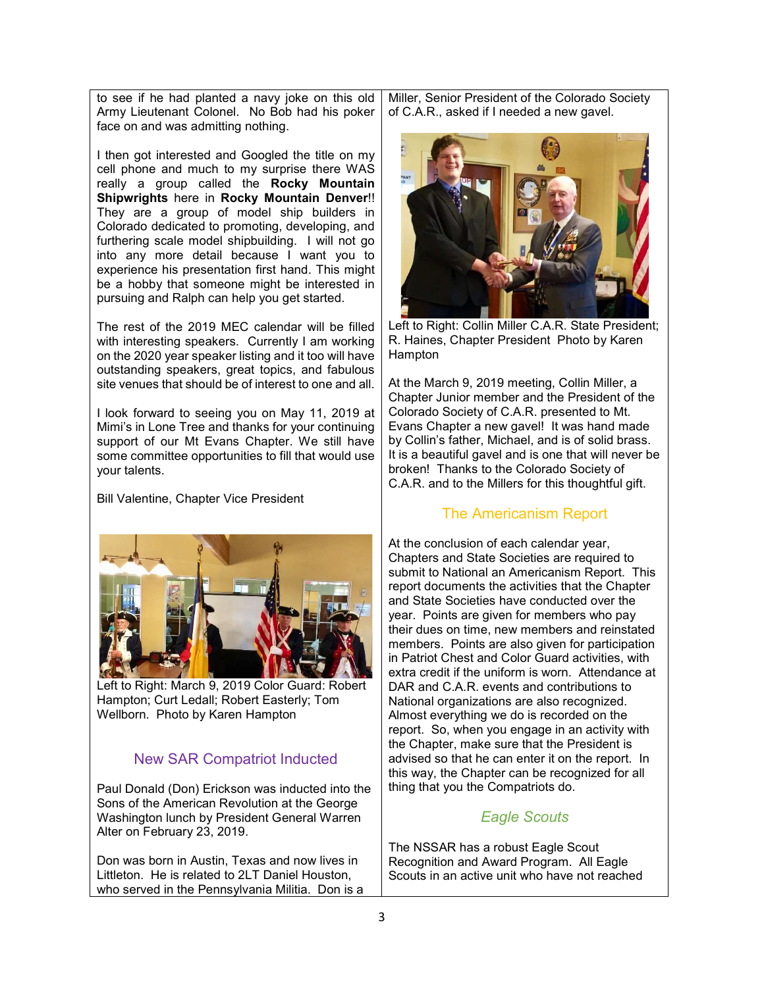to see if he had planted a navy joke on this old Army Lieutenant Colonel. No Bob had his poker face on and was admitting nothing.

I then got interested and Googled the title on my cell phone and much to my surprise there WAS really a group called the Rocky Mountain Shipwrights here in Rocky Mountain Denver!! They are a group of model ship builders in Colorado dedicated to promoting, developing, and furthering scale model shipbuilding. I will not go into any more detail because I want you to experience his presentation first hand. This might be a hobby that someone might be interested in pursuing and Ralph can help you get started.

The rest of the 2019 MEC calendar will be filled with interesting speakers. Currently I am working on the 2020 year speaker listing and it too will have outstanding speakers, great topics, and fabulous site venues that should be of interest to one and all.

I look forward to seeing you on May 11, 2019 at Mimi's in Lone Tree and thanks for your continuing support of our Mt Evans Chapter. We still have some committee opportunities to fill that would use your talents.

Bill Valentine, Chapter Vice President



Left to Right: March 9, 2019 Color Guard: Robert Hampton; Curt Ledall; Robert Easterly; Tom Wellborn. Photo by Karen Hampton

# New SAR Compatriot Inducted

Paul Donald (Don) Erickson was inducted into the Sons of the American Revolution at the George Washington lunch by President General Warren Alter on February 23, 2019.

Don was born in Austin, Texas and now lives in Littleton. He is related to 2LT Daniel Houston, who served in the Pennsylvania Militia. Don is a

Miller, Senior President of the Colorado Society of C.A.R., asked if I needed a new gavel.



Left to Right: Collin Miller C.A.R. State President; R. Haines, Chapter President Photo by Karen Hampton

At the March 9, 2019 meeting, Collin Miller, a Chapter Junior member and the President of the Colorado Society of C.A.R. presented to Mt. Evans Chapter a new gavel! It was hand made by Collin's father, Michael, and is of solid brass. It is a beautiful gavel and is one that will never be broken! Thanks to the Colorado Society of C.A.R. and to the Millers for this thoughtful gift.

#### The Americanism Report

At the conclusion of each calendar year, Chapters and State Societies are required to submit to National an Americanism Report. This report documents the activities that the Chapter and State Societies have conducted over the year. Points are given for members who pay their dues on time, new members and reinstated members. Points are also given for participation in Patriot Chest and Color Guard activities, with extra credit if the uniform is worn. Attendance at DAR and C.A.R. events and contributions to National organizations are also recognized. Almost everything we do is recorded on the report. So, when you engage in an activity with the Chapter, make sure that the President is advised so that he can enter it on the report. In this way, the Chapter can be recognized for all thing that you the Compatriots do.

# Eagle Scouts

The NSSAR has a robust Eagle Scout Recognition and Award Program. All Eagle Scouts in an active unit who have not reached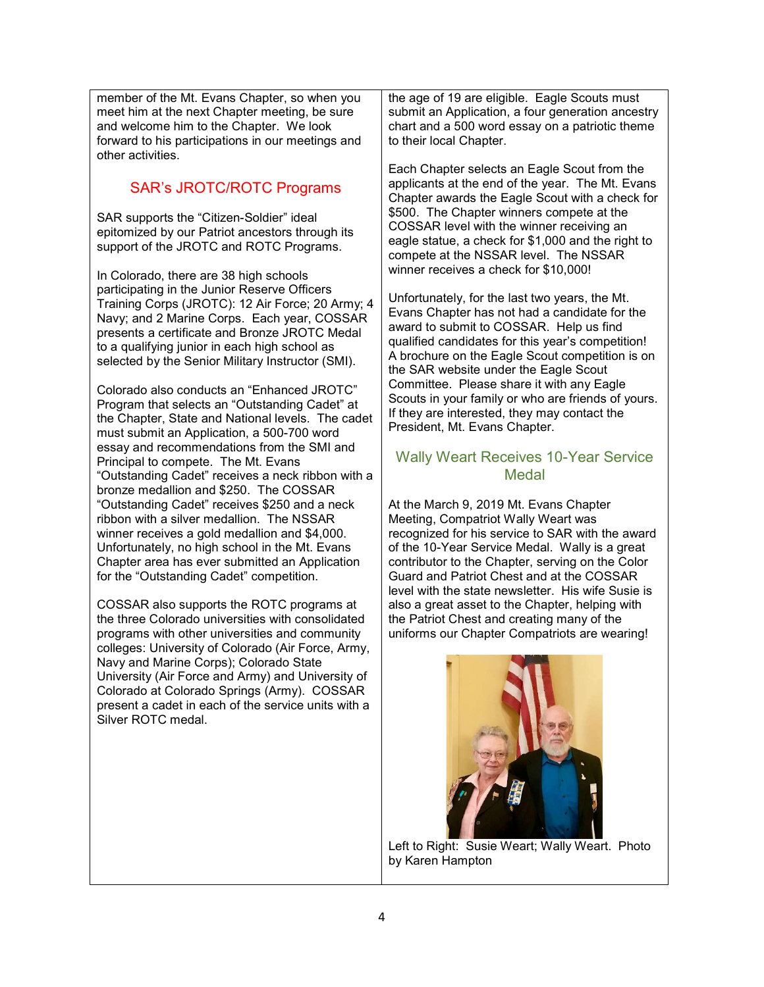member of the Mt. Evans Chapter, so when you meet him at the next Chapter meeting, be sure and welcome him to the Chapter. We look forward to his participations in our meetings and other activities.

# SAR's JROTC/ROTC Programs

SAR supports the "Citizen-Soldier" ideal epitomized by our Patriot ancestors through its support of the JROTC and ROTC Programs.

In Colorado, there are 38 high schools participating in the Junior Reserve Officers Training Corps (JROTC): 12 Air Force; 20 Army; 4 Navy; and 2 Marine Corps. Each year, COSSAR presents a certificate and Bronze JROTC Medal to a qualifying junior in each high school as selected by the Senior Military Instructor (SMI).

Colorado also conducts an "Enhanced JROTC" Program that selects an "Outstanding Cadet" at the Chapter, State and National levels. The cadet must submit an Application, a 500-700 word essay and recommendations from the SMI and Principal to compete. The Mt. Evans "Outstanding Cadet" receives a neck ribbon with a bronze medallion and \$250. The COSSAR "Outstanding Cadet" receives \$250 and a neck ribbon with a silver medallion. The NSSAR winner receives a gold medallion and \$4,000. Unfortunately, no high school in the Mt. Evans Chapter area has ever submitted an Application for the "Outstanding Cadet" competition.

COSSAR also supports the ROTC programs at the three Colorado universities with consolidated programs with other universities and community colleges: University of Colorado (Air Force, Army, Navy and Marine Corps); Colorado State University (Air Force and Army) and University of Colorado at Colorado Springs (Army). COSSAR present a cadet in each of the service units with a Silver ROTC medal.

the age of 19 are eligible. Eagle Scouts must submit an Application, a four generation ancestry chart and a 500 word essay on a patriotic theme to their local Chapter.

Each Chapter selects an Eagle Scout from the applicants at the end of the year. The Mt. Evans Chapter awards the Eagle Scout with a check for \$500. The Chapter winners compete at the COSSAR level with the winner receiving an eagle statue, a check for \$1,000 and the right to compete at the NSSAR level. The NSSAR winner receives a check for \$10,000!

Unfortunately, for the last two years, the Mt. Evans Chapter has not had a candidate for the award to submit to COSSAR. Help us find qualified candidates for this year's competition! A brochure on the Eagle Scout competition is on the SAR website under the Eagle Scout Committee. Please share it with any Eagle Scouts in your family or who are friends of yours. If they are interested, they may contact the President, Mt. Evans Chapter.

# Wally Weart Receives 10-Year Service Medal

At the March 9, 2019 Mt. Evans Chapter Meeting, Compatriot Wally Weart was recognized for his service to SAR with the award of the 10-Year Service Medal. Wally is a great contributor to the Chapter, serving on the Color Guard and Patriot Chest and at the COSSAR level with the state newsletter. His wife Susie is also a great asset to the Chapter, helping with the Patriot Chest and creating many of the uniforms our Chapter Compatriots are wearing!



Left to Right: Susie Weart; Wally Weart. Photo by Karen Hampton